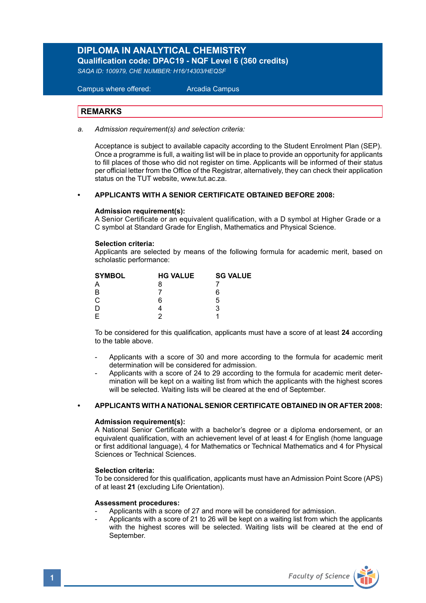# **DIPLOMA IN ANALYTICAL CHEMISTRY**

**Qualification code: DPAC19 - NQF Level 6 (360 credits)** 

*SAQA ID: 100979, CHE NUMBER: H16/14303/HEQSF*

 Campus where offered: Arcadia Campus

#### **REMARKS**

*a. Admission requirement(s) and selection criteria:* 

Acceptance is subject to available capacity according to the Student Enrolment Plan (SEP). Once a programme is full, a waiting list will be in place to provide an opportunity for applicants to fill places of those who did not register on time. Applicants will be informed of their status per official letter from the Office of the Registrar, alternatively, they can check their application status on the TUT website, www.tut.ac.za.

#### **• APPLICANTS WITH A SENIOR CERTIFICATE OBTAINED BEFORE 2008:**

#### **Admission requirement(s):**

A Senior Certificate or an equivalent qualification, with a D symbol at Higher Grade or a C symbol at Standard Grade for English, Mathematics and Physical Science.

#### **Selection criteria:**

Applicants are selected by means of the following formula for academic merit, based on scholastic performance:

| <b>HG VALUE</b> | <b>SG VALUE</b> |
|-----------------|-----------------|
| 8               |                 |
|                 | 6               |
| 6               | 5               |
|                 | 3               |
|                 |                 |
|                 |                 |

To be considered for this qualification, applicants must have a score of at least **24** according to the table above.

- Applicants with a score of 30 and more according to the formula for academic merit determination will be considered for admission.
- Applicants with a score of 24 to 29 according to the formula for academic merit determination will be kept on a waiting list from which the applicants with the highest scores will be selected. Waiting lists will be cleared at the end of September.

#### **• APPLICANTS WITH A NATIONAL SENIOR CERTIFICATE OBTAINED IN OR AFTER 2008:**

#### **Admission requirement(s):**

A National Senior Certificate with a bachelor's degree or a diploma endorsement, or an equivalent qualification, with an achievement level of at least 4 for English (home language or first additional language), 4 for Mathematics or Technical Mathematics and 4 for Physical Sciences or Technical Sciences.

#### **Selection criteria:**

To be considered for this qualification, applicants must have an Admission Point Score (APS) of at least **21** (excluding Life Orientation).

#### **Assessment procedures:**

- Applicants with a score of 27 and more will be considered for admission.
- Applicants with a score of 21 to 26 will be kept on a waiting list from which the applicants with the highest scores will be selected. Waiting lists will be cleared at the end of September.

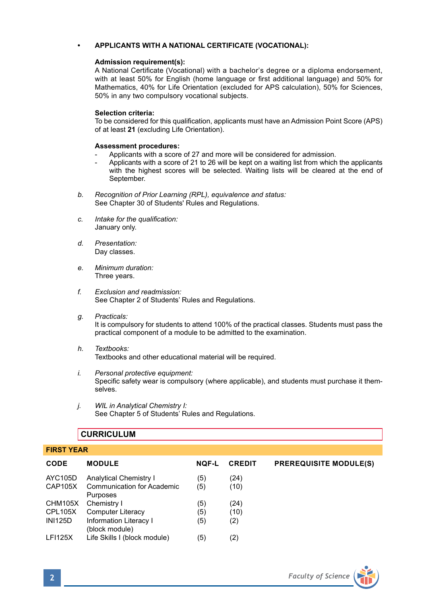#### **• APPLICANTS WITH A NATIONAL CERTIFICATE (VOCATIONAL):**

#### **Admission requirement(s):**

A National Certificate (Vocational) with a bachelor's degree or a diploma endorsement, with at least 50% for English (home language or first additional language) and 50% for Mathematics, 40% for Life Orientation (excluded for APS calculation), 50% for Sciences, 50% in any two compulsory vocational subjects.

#### **Selection criteria:**

To be considered for this qualification, applicants must have an Admission Point Score (APS) of at least **21** (excluding Life Orientation).

#### **Assessment procedures:**

- Applicants with a score of 27 and more will be considered for admission.
- Applicants with a score of 21 to 26 will be kept on a waiting list from which the applicants with the highest scores will be selected. Waiting lists will be cleared at the end of September.
- *b. Recognition of Prior Learning (RPL), equivalence and status:* See Chapter 30 of Students' Rules and Regulations.
- *c. Intake for the qualification:* January only.
- *d. Presentation:*  Day classes.
- *e. Minimum duration:* Three years.
- *f. Exclusion and readmission:* See Chapter 2 of Students' Rules and Regulations.
- *g. Practicals:* It is compulsory for students to attend 100% of the practical classes. Students must pass the practical component of a module to be admitted to the examination.
- *h. Textbooks:* Textbooks and other educational material will be required.
- *i. Personal protective equipment:* Specific safety wear is compulsory (where applicable), and students must purchase it themselves.
- *j. WIL in Analytical Chemistry I:* See Chapter 5 of Students' Rules and Regulations.

### **CURRICULUM**

| <b>FIRST YEAR</b> |                                          |              |               |                               |  |
|-------------------|------------------------------------------|--------------|---------------|-------------------------------|--|
| <b>CODE</b>       | <b>MODULE</b>                            | <b>NOF-L</b> | <b>CREDIT</b> | <b>PREREQUISITE MODULE(S)</b> |  |
| AYC105D           | Analytical Chemistry I                   | (5)          | (24)          |                               |  |
| CAP105X           | Communication for Academic<br>Purposes   | (5)          | (10)          |                               |  |
| CHM105X           | Chemistry I                              | (5)          | (24)          |                               |  |
| CPL105X           | <b>Computer Literacy</b>                 | (5)          | (10)          |                               |  |
| <b>INI125D</b>    | Information Literacy I<br>(block module) | (5)          | (2)           |                               |  |
| <b>LFI125X</b>    | Life Skills I (block module)             | (5)          | (2)           |                               |  |

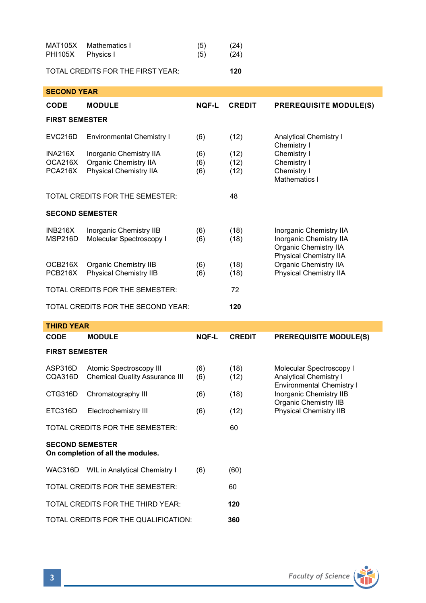| <b>MAT105X</b><br><b>PHI105X</b>            | Mathematics I<br>Physics I                                                        | (5)<br>(5)        | (24)<br>(24)         |                                                                                                                                                          |
|---------------------------------------------|-----------------------------------------------------------------------------------|-------------------|----------------------|----------------------------------------------------------------------------------------------------------------------------------------------------------|
|                                             | TOTAL CREDITS FOR THE FIRST YEAR:                                                 |                   | 120                  |                                                                                                                                                          |
| <b>SECOND YEAR</b>                          |                                                                                   |                   |                      |                                                                                                                                                          |
| <b>CODE</b>                                 | <b>MODULE</b>                                                                     | <b>NOF-L</b>      | <b>CREDIT</b>        | <b>PREREQUISITE MODULE(S)</b>                                                                                                                            |
| <b>FIRST SEMESTER</b>                       |                                                                                   |                   |                      |                                                                                                                                                          |
| <b>EVC216D</b>                              | <b>Environmental Chemistry I</b>                                                  | (6)               | (12)                 | <b>Analytical Chemistry I</b><br>Chemistry I<br>Chemistry I<br>Chemistry I<br>Chemistry I<br>Mathematics I                                               |
| <b>INA216X</b><br>OCA216X<br><b>PCA216X</b> | Inorganic Chemistry IIA<br>Organic Chemistry IIA<br><b>Physical Chemistry IIA</b> | (6)<br>(6)<br>(6) | (12)<br>(12)<br>(12) |                                                                                                                                                          |
|                                             | TOTAL CREDITS FOR THE SEMESTER:                                                   |                   | 48                   |                                                                                                                                                          |
| <b>SECOND SEMESTER</b>                      |                                                                                   |                   |                      |                                                                                                                                                          |
| <b>INB216X</b><br>MSP216D                   | Inorganic Chemistry IIB<br>Molecular Spectroscopy I                               | (6)<br>(6)        | (18)<br>(18)         | Inorganic Chemistry IIA<br>Inorganic Chemistry IIA<br>Organic Chemistry IIA<br>Physical Chemistry IIA<br>Organic Chemistry IIA<br>Physical Chemistry IIA |
| OCB216X<br>PCB216X                          | Organic Chemistry IIB<br><b>Physical Chemistry IIB</b>                            | (6)<br>(6)        | (18)<br>(18)         |                                                                                                                                                          |
|                                             |                                                                                   |                   |                      |                                                                                                                                                          |
|                                             | TOTAL CREDITS FOR THE SEMESTER:                                                   |                   | 72                   |                                                                                                                                                          |
|                                             | TOTAL CREDITS FOR THE SECOND YEAR:                                                |                   | 120                  |                                                                                                                                                          |
| <b>THIRD YEAR</b>                           |                                                                                   |                   |                      |                                                                                                                                                          |
| <b>CODE</b>                                 | <b>MODULE</b>                                                                     | <b>NOF-L</b>      | <b>CREDIT</b>        | <b>PREREQUISITE MODULE(S)</b>                                                                                                                            |
| <b>FIRST SEMESTER</b>                       |                                                                                   |                   |                      |                                                                                                                                                          |
| ASP316D<br>CQA316D                          | Atomic Spectroscopy III<br><b>Chemical Quality Assurance III</b>                  | (6)<br>(6)        | (18)<br>(12)         | Molecular Spectroscopy I<br><b>Analytical Chemistry I</b>                                                                                                |
| CTG316D                                     | Chromatography III                                                                | (6)               | (18)                 | Environmental Chemistry I<br>Inorganic Chemistry IIB                                                                                                     |
| ETC316D                                     | Electrochemistry III                                                              | (6)               | (12)                 | Organic Chemistry IIB<br><b>Physical Chemistry IIB</b>                                                                                                   |
|                                             | TOTAL CREDITS FOR THE SEMESTER:                                                   |                   | 60                   |                                                                                                                                                          |
| <b>SECOND SEMESTER</b>                      | On completion of all the modules.                                                 |                   |                      |                                                                                                                                                          |
|                                             | WAC316D WIL in Analytical Chemistry I                                             | (6)               | (60)                 |                                                                                                                                                          |
|                                             | TOTAL CREDITS FOR THE SEMESTER:                                                   |                   | 60                   |                                                                                                                                                          |
|                                             | TOTAL CREDITS FOR THE THIRD YEAR:                                                 |                   | 120                  |                                                                                                                                                          |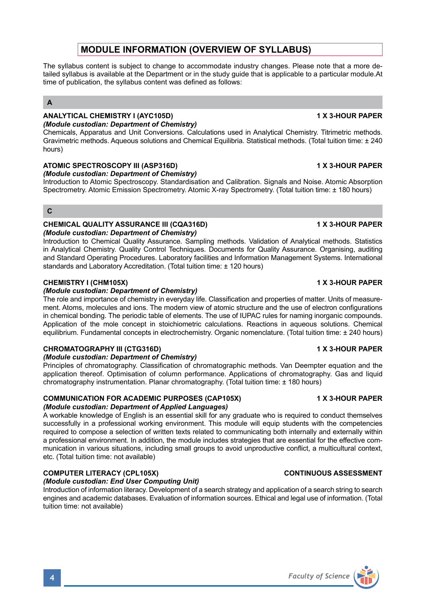# **MODULE INFORMATION (OVERVIEW OF SYLLABUS)**

The syllabus content is subject to change to accommodate industry changes. Please note that a more detailed syllabus is available at the Department or in the study guide that is applicable to a particular module.At time of publication, the syllabus content was defined as follows:

### **A**

#### **ANALYTICAL CHEMISTRY I (AYC105D) 1 X 3-HOUR PAPER** *(Module custodian: Department of Chemistry)*

Chemicals, Apparatus and Unit Conversions. Calculations used in Analytical Chemistry. Titrimetric methods. Gravimetric methods. Aqueous solutions and Chemical Equilibria. Statistical methods. (Total tuition time: ± 240 hours)

### ATOMIC SPECTROSCOPY III (ASP316D) **1 ATOMIC SPECTROSCOPY III** (ASP316D)

*(Module custodian: Department of Chemistry)*

Introduction to Atomic Spectroscopy. Standardisation and Calibration. Signals and Noise. Atomic Absorption Spectrometry. Atomic Emission Spectrometry. Atomic X-ray Spectrometry. (Total tuition time: ± 180 hours)

### **C**

# **CHEMICAL QUALITY ASSURANCE III (CQA316D) 1 X 3-HOUR PAPER**

*(Module custodian: Department of Chemistry)*

Introduction to Chemical Quality Assurance. Sampling methods. Validation of Analytical methods. Statistics in Analytical Chemistry. Quality Control Techniques. Documents for Quality Assurance. Organising, auditing and Standard Operating Procedures. Laboratory facilities and Information Management Systems. International standards and Laboratory Accreditation. (Total tuition time: ± 120 hours)

### **CHEMISTRY I (CHM105X) 1 X 3-HOUR PAPER**

### *(Module custodian: Department of Chemistry)*

The role and importance of chemistry in everyday life. Classification and properties of matter. Units of measurement. Atoms, molecules and ions. The modern view of atomic structure and the use of electron configurations in chemical bonding. The periodic table of elements. The use of IUPAC rules for naming inorganic compounds. Application of the mole concept in stoichiometric calculations. Reactions in aqueous solutions. Chemical equilibrium. Fundamental concepts in electrochemistry. Organic nomenclature. (Total tuition time: ± 240 hours)

### **CHROMATOGRAPHY III (CTG316D) 1 X 3-HOUR PAPER**

#### *(Module custodian: Department of Chemistry)*

Principles of chromatography. Classification of chromatographic methods. Van Deempter equation and the application thereof. Optimisation of column performance. Applications of chromatography. Gas and liquid chromatography instrumentation. Planar chromatography. (Total tuition time: ± 180 hours)

# **COMMUNICATION FOR ACADEMIC PURPOSES (CAP105X) 1 X 3-HOUR PAPER**

### *(Module custodian: Department of Applied Languages)*

A workable knowledge of English is an essential skill for any graduate who is required to conduct themselves successfully in a professional working environment. This module will equip students with the competencies required to compose a selection of written texts related to communicating both internally and externally within a professional environment. In addition, the module includes strategies that are essential for the effective communication in various situations, including small groups to avoid unproductive conflict, a multicultural context, etc. (Total tuition time: not available)

### **COMPUTER LITERACY (CPL105X)** CONTINUOUS ASSESSMENT

#### *(Module custodian: End User Computing Unit)*

Introduction of information literacy. Development of a search strategy and application of a search string to search engines and academic databases. Evaluation of information sources. Ethical and legal use of information. (Total tuition time: not available)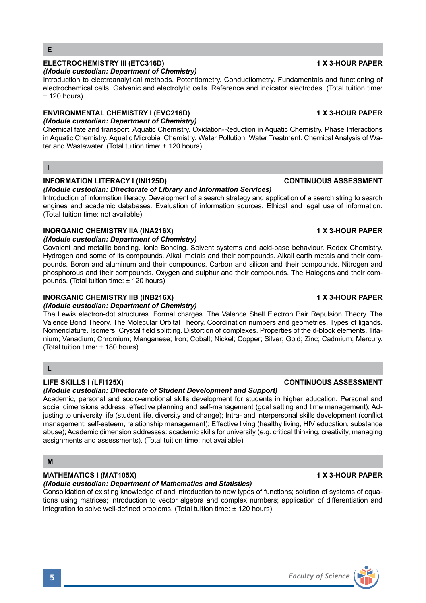### **ELECTROCHEMISTRY III (ETC316D) 1 X 3-HOUR PAPER**

#### *(Module custodian: Department of Chemistry)*

Introduction to electroanalytical methods. Potentiometry. Conductiometry. Fundamentals and functioning of electrochemical cells. Galvanic and electrolytic cells. Reference and indicator electrodes. (Total tuition time:  $± 120$  hours)

#### **ENVIRONMENTAL CHEMISTRY I (EVC216D) 1 X 3-HOUR PAPER**

### *(Module custodian: Department of Chemistry)*

Chemical fate and transport. Aquatic Chemistry. Oxidation-Reduction in Aquatic Chemistry. Phase Interactions in Aquatic Chemistry. Aquatic Microbial Chemistry. Water Pollution. Water Treatment. Chemical Analysis of Water and Wastewater. (Total tuition time: ± 120 hours)

#### **I**

#### **INFORMATION LITERACY I (INI125D) CONTINUOUS ASSESSMENT**

#### *(Module custodian: Directorate of Library and Information Services)*

Introduction of information literacy. Development of a search strategy and application of a search string to search engines and academic databases. Evaluation of information sources. Ethical and legal use of information. (Total tuition time: not available)

#### **INORGANIC CHEMISTRY IIA (INA216X)** 1 X 3-HOUR PAPER

### *(Module custodian: Department of Chemistry)*

Covalent and metallic bonding. Ionic Bonding. Solvent systems and acid-base behaviour. Redox Chemistry. Hydrogen and some of its compounds. Alkali metals and their compounds. Alkali earth metals and their compounds. Boron and aluminum and their compounds. Carbon and silicon and their compounds. Nitrogen and phosphorous and their compounds. Oxygen and sulphur and their compounds. The Halogens and their compounds. (Total tuition time: ± 120 hours)

#### **INORGANIC CHEMISTRY IIB (INB216X)** 1 X 3-HOUR PAPER

#### *(Module custodian: Department of Chemistry)*

The Lewis electron-dot structures. Formal charges. The Valence Shell Electron Pair Repulsion Theory. The Valence Bond Theory. The Molecular Orbital Theory. Coordination numbers and geometries. Types of ligands. Nomenclature. Isomers. Crystal field splitting. Distortion of complexes. Properties of the d-block elements. Titanium; Vanadium; Chromium; Manganese; Iron; Cobalt; Nickel; Copper; Silver; Gold; Zinc; Cadmium; Mercury. (Total tuition time: ± 180 hours)

#### **L**

#### *(Module custodian: Directorate of Student Development and Support)*

Academic, personal and socio-emotional skills development for students in higher education. Personal and social dimensions address: effective planning and self-management (goal setting and time management); Adjusting to university life (student life, diversity and change); Intra- and interpersonal skills development (conflict management, self-esteem, relationship management); Effective living (healthy living, HIV education, substance abuse); Academic dimension addresses: academic skills for university (e.g. critical thinking, creativity, managing assignments and assessments). (Total tuition time: not available)

#### **M**

#### **MATHEMATICS I (MAT105X)** 1 X 3-HOUR PAPER

#### *(Module custodian: Department of Mathematics and Statistics)*

Consolidation of existing knowledge of and introduction to new types of functions; solution of systems of equations using matrices; introduction to vector algebra and complex numbers; application of differentiation and integration to solve well-defined problems. (Total tuition time: ± 120 hours)

#### **LIFE SKILLS I (LFI125X) CONTINUOUS ASSESSMENT**

# **5** *Faculty of Science*